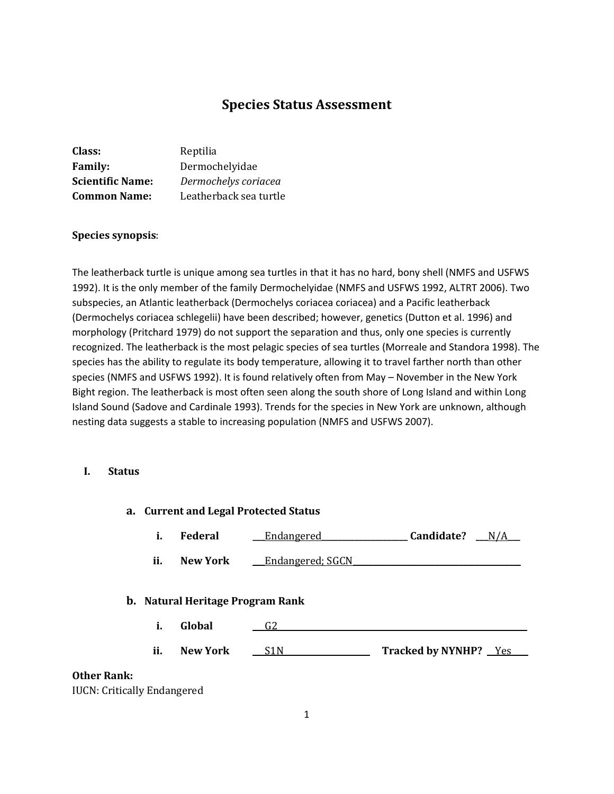# **Species Status Assessment**

| Class:                  | Reptilia               |
|-------------------------|------------------------|
| <b>Family:</b>          | Dermochelyidae         |
| <b>Scientific Name:</b> | Dermochelys coriacea   |
| <b>Common Name:</b>     | Leatherback sea turtle |

#### **Species synopsis**:

The leatherback turtle is unique among sea turtles in that it has no hard, bony shell (NMFS and USFWS 1992). It is the only member of the family Dermochelyidae (NMFS and USFWS 1992, ALTRT 2006). Two subspecies, an Atlantic leatherback (Dermochelys coriacea coriacea) and a Pacific leatherback (Dermochelys coriacea schlegelii) have been described; however, genetics (Dutton et al. 1996) and morphology (Pritchard 1979) do not support the separation and thus, only one species is currently recognized. The leatherback is the most pelagic species of sea turtles (Morreale and Standora 1998). The species has the ability to regulate its body temperature, allowing it to travel farther north than other species (NMFS and USFWS 1992). It is found relatively often from May – November in the New York Bight region. The leatherback is most often seen along the south shore of Long Island and within Long Island Sound (Sadove and Cardinale 1993). Trends for the species in New York are unknown, although nesting data suggests a stable to increasing population (NMFS and USFWS 2007).

#### **I. Status**

|                                    |     |                                                   | a. Current and Legal Protected Status |                          |
|------------------------------------|-----|---------------------------------------------------|---------------------------------------|--------------------------|
|                                    | i.  | Federal                                           | Endangered                            | <b>Candidate?</b><br>N/A |
|                                    | ii. | <b>New York</b>                                   | Endangered; SGCN                      |                          |
|                                    | i.  | <b>b.</b> Natural Heritage Program Rank<br>Global | G2                                    |                          |
|                                    | ii. | <b>New York</b>                                   | S <sub>1</sub> N                      | Tracked by NYNHP? Yes    |
| <b>Other Rank:</b><br>$\mathbf{H}$ |     |                                                   |                                       |                          |

IUCN: Critically Endangered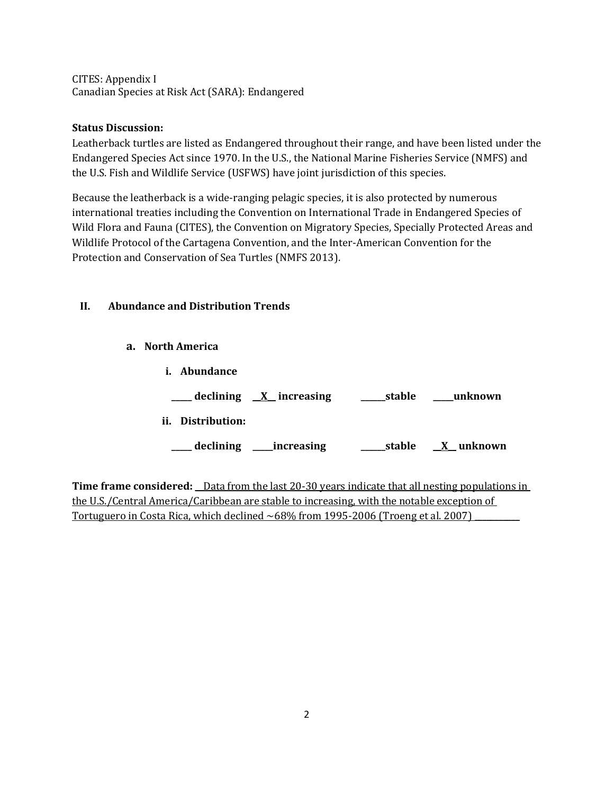CITES: Appendix I Canadian Species at Risk Act (SARA): Endangered

## **Status Discussion:**

Leatherback turtles are listed as Endangered throughout their range, and have been listed under the Endangered Species Act since 1970. In the U.S., the National Marine Fisheries Service (NMFS) and the U.S. Fish and Wildlife Service (USFWS) have joint jurisdiction of this species.

Because the leatherback is a wide-ranging pelagic species, it is also protected by numerous international treaties including the Convention on International Trade in Endangered Species of Wild Flora and Fauna (CITES), the Convention on Migratory Species, Specially Protected Areas and Wildlife Protocol of the Cartagena Convention, and the Inter-American Convention for the Protection and Conservation of Sea Turtles (NMFS 2013).

## **II. Abundance and Distribution Trends**

- **a. North America**
	- **i. Abundance \_\_\_\_\_ declining \_\_X\_\_ increasing \_\_\_\_\_\_stable \_\_\_\_\_unknown ii. Distribution: \_\_\_\_\_ declining \_\_\_\_\_increasing \_\_\_\_\_\_stable \_\_X\_\_ unknown**

**Time frame considered:** Data from the last 20-30 years indicate that all nesting populations in the U.S./Central America/Caribbean are stable to increasing, with the notable exception of Tortuguero in Costa Rica, which declined  $\sim 68\%$  from 1995-2006 (Troeng et al. 2007)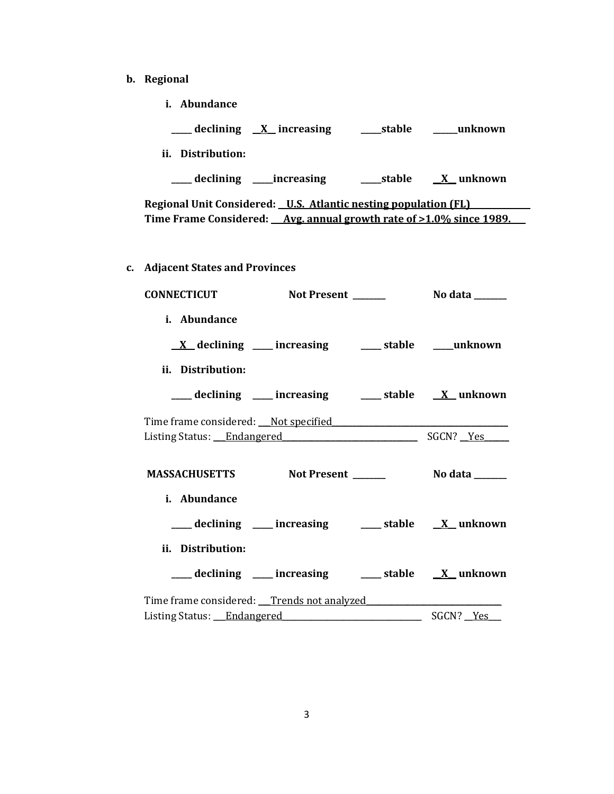- **b. Regional** 
	- **i. Abundance**

| ___ declining X increasing ____ stable ____ unknown                          |                       |
|------------------------------------------------------------------------------|-----------------------|
| ii. Distribution:                                                            |                       |
| ___ declining ____increasing _______stable _____X__ unknown                  |                       |
| Regional Unit Considered: U.S. Atlantic nesting population (FL)              |                       |
| Time Frame Considered: Avg. annual growth rate of >1.0% since 1989.          |                       |
|                                                                              |                       |
|                                                                              |                       |
| c. Adjacent States and Provinces                                             |                       |
|                                                                              |                       |
| CONNECTICUT Not Present ______                                               | No data _______       |
| i. Abundance                                                                 |                       |
|                                                                              |                       |
| <u>X</u> declining ___ increasing ___ stable ___ unknown                     |                       |
| ii. Distribution:                                                            |                       |
| ___ declining ___ increasing ___ stable __ X_unknown                         |                       |
|                                                                              |                       |
| Time frame considered: Not specified<br>Listing Status: Endangered SGCN? Yes |                       |
|                                                                              |                       |
| <b>MASSACHUSETTS</b> Not Present                                             | $\sim$ No data $\sim$ |
|                                                                              |                       |
| i. Abundance                                                                 |                       |
| ___ declining ___ increasing ___ stable __ X_unknown                         |                       |
| ii. Distribution:                                                            |                       |
|                                                                              |                       |
| ___ declining ___ increasing ___ stable __ X_unknown                         |                       |
| Time frame considered: Trends not analyzed                                   |                       |
| Listing Status: Endangered                                                   | SGCN? Yes             |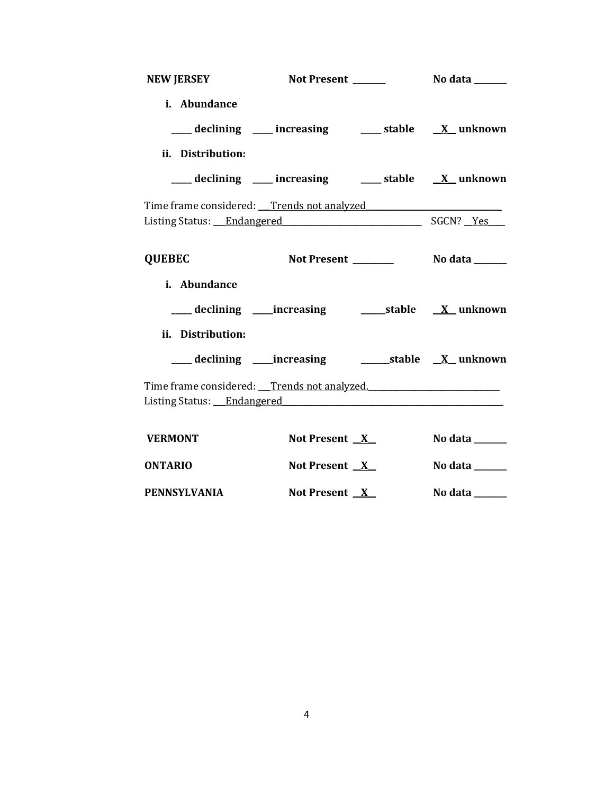| <b>NEW JERSEY</b>                                                                                                                                            | Not Present ______                                                               | <b>No data</b> ______ |
|--------------------------------------------------------------------------------------------------------------------------------------------------------------|----------------------------------------------------------------------------------|-----------------------|
| i. Abundance                                                                                                                                                 |                                                                                  |                       |
|                                                                                                                                                              | ___ declining ___ increasing ____ stable __ X_unknown                            |                       |
| ii. Distribution:                                                                                                                                            |                                                                                  |                       |
|                                                                                                                                                              | ___ declining ___ increasing ___ stable __ X_unknown                             |                       |
| Time frame considered: Trends not analyzed<br>Listing Status: Endangered Status And Status Status And Status: Endangered Status And Status And Status And St |                                                                                  |                       |
| <b>QUEBEC</b>                                                                                                                                                |                                                                                  |                       |
| i. Abundance                                                                                                                                                 |                                                                                  |                       |
|                                                                                                                                                              | ____ declining _____increasing _____________stable _____________________________ |                       |
| ii. Distribution:                                                                                                                                            |                                                                                  |                       |
|                                                                                                                                                              |                                                                                  |                       |
| Time frame considered: Trends not analyzed.<br>Listing Status: Endangered                                                                                    |                                                                                  |                       |
| <b>VERMONT</b>                                                                                                                                               | Not Present $X$                                                                  | No data ______        |
| <b>ONTARIO</b>                                                                                                                                               | Not Present $X$                                                                  | No data ______        |
| <b>PENNSYLVANIA</b>                                                                                                                                          | Not Present $X$                                                                  | No data ______        |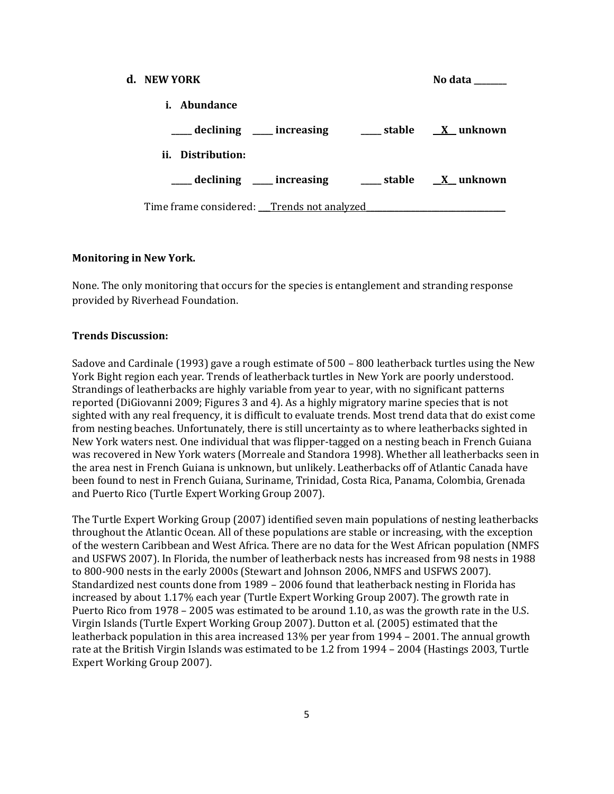| d. NEW YORK                                                     |  | No data |
|-----------------------------------------------------------------|--|---------|
| <i>i.</i> Abundance                                             |  |         |
| ____ declining ____ increasing ____ stable __ <u>X</u> _unknown |  |         |
| ii. Distribution:                                               |  |         |
| declining ____ increasing _____ stable _____ X__ unknown        |  |         |
| Time frame considered: Trends not analyzed                      |  |         |

#### **Monitoring in New York.**

None. The only monitoring that occurs for the species is entanglement and stranding response provided by Riverhead Foundation.

#### **Trends Discussion:**

Sadove and Cardinale (1993) gave a rough estimate of 500 – 800 leatherback turtles using the New York Bight region each year. Trends of leatherback turtles in New York are poorly understood. Strandings of leatherbacks are highly variable from year to year, with no significant patterns reported (DiGiovanni 2009; Figures 3 and 4). As a highly migratory marine species that is not sighted with any real frequency, it is difficult to evaluate trends. Most trend data that do exist come from nesting beaches. Unfortunately, there is still uncertainty as to where leatherbacks sighted in New York waters nest. One individual that was flipper-tagged on a nesting beach in French Guiana was recovered in New York waters (Morreale and Standora 1998). Whether all leatherbacks seen in the area nest in French Guiana is unknown, but unlikely. Leatherbacks off of Atlantic Canada have been found to nest in French Guiana, Suriname, Trinidad, Costa Rica, Panama, Colombia, Grenada and Puerto Rico (Turtle Expert Working Group 2007).

The Turtle Expert Working Group (2007) identified seven main populations of nesting leatherbacks throughout the Atlantic Ocean. All of these populations are stable or increasing, with the exception of the western Caribbean and West Africa. There are no data for the West African population (NMFS and USFWS 2007). In Florida, the number of leatherback nests has increased from 98 nests in 1988 to 800-900 nests in the early 2000s (Stewart and Johnson 2006, NMFS and USFWS 2007). Standardized nest counts done from 1989 – 2006 found that leatherback nesting in Florida has increased by about 1.17% each year (Turtle Expert Working Group 2007). The growth rate in Puerto Rico from 1978 – 2005 was estimated to be around 1.10, as was the growth rate in the U.S. Virgin Islands (Turtle Expert Working Group 2007). Dutton et al. (2005) estimated that the leatherback population in this area increased 13% per year from 1994 – 2001. The annual growth rate at the British Virgin Islands was estimated to be 1.2 from 1994 – 2004 (Hastings 2003, Turtle Expert Working Group 2007).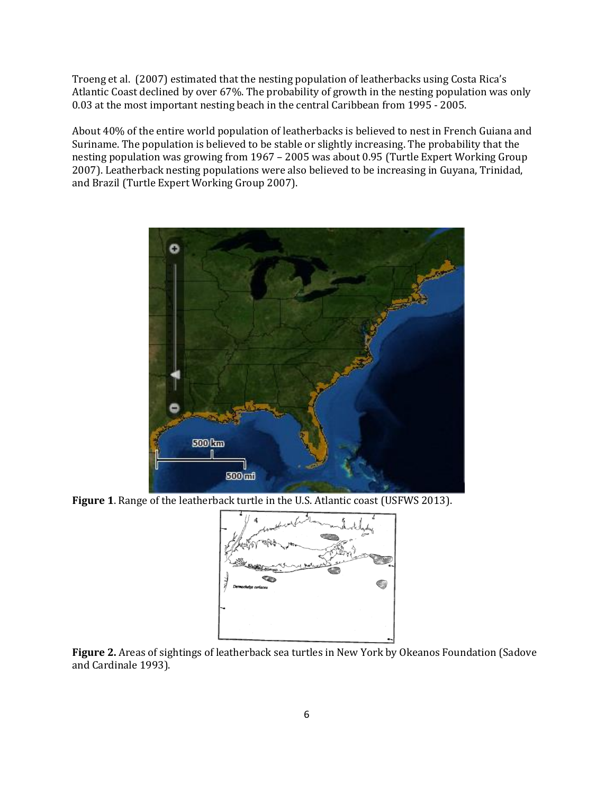Troeng et al. (2007) estimated that the nesting population of leatherbacks using Costa Rica's Atlantic Coast declined by over 67%. The probability of growth in the nesting population was only 0.03 at the most important nesting beach in the central Caribbean from 1995 - 2005.

About 40% of the entire world population of leatherbacks is believed to nest in French Guiana and Suriname. The population is believed to be stable or slightly increasing. The probability that the nesting population was growing from 1967 – 2005 was about 0.95 (Turtle Expert Working Group 2007). Leatherback nesting populations were also believed to be increasing in Guyana, Trinidad, and Brazil (Turtle Expert Working Group 2007).



**Figure 1**. Range of the leatherback turtle in the U.S. Atlantic coast (USFWS 2013).



**Figure 2.** Areas of sightings of leatherback sea turtles in New York by Okeanos Foundation (Sadove and Cardinale 1993).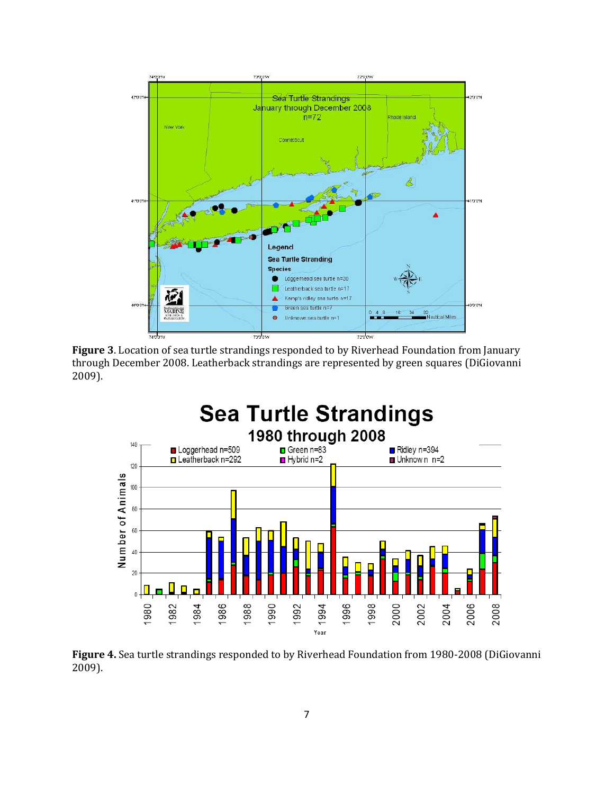





**Figure 4.** Sea turtle strandings responded to by Riverhead Foundation from 1980-2008 (DiGiovanni 2009).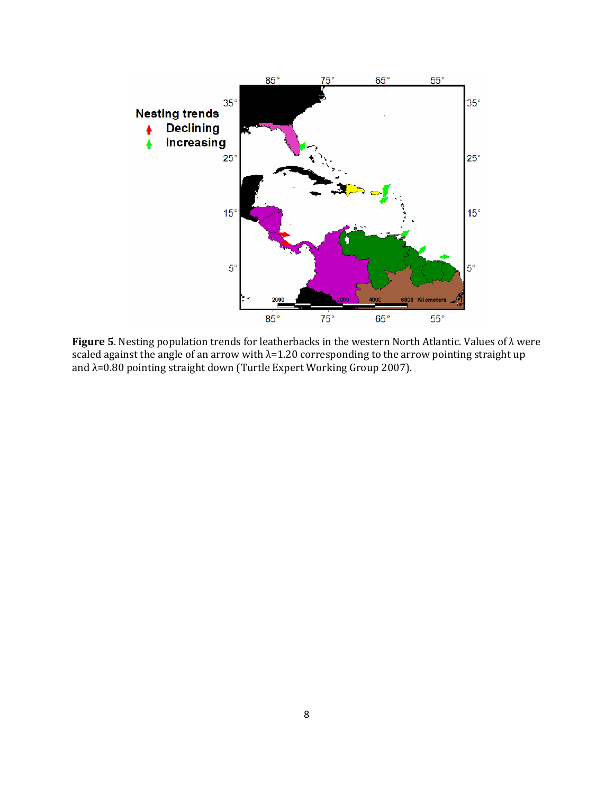

**Figure 5**. Nesting population trends for leatherbacks in the western North Atlantic. Values of λ were scaled against the angle of an arrow with  $\lambda$ =1.20 corresponding to the arrow pointing straight up and λ=0.80 pointing straight down (Turtle Expert Working Group 2007).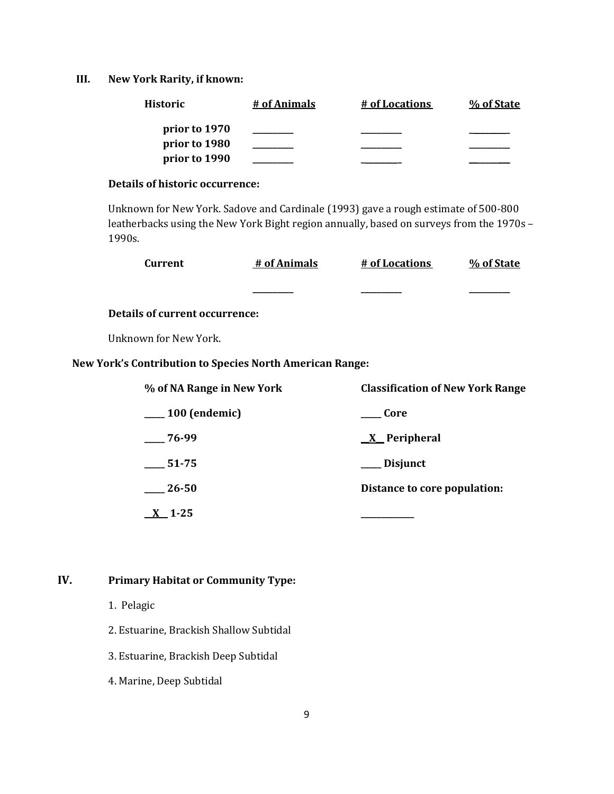**III. New York Rarity, if known:**

| <b>Historic</b> | # of Animals | # of Locations | % of State |
|-----------------|--------------|----------------|------------|
| prior to 1970   |              |                |            |
| prior to 1980   |              |                |            |
| prior to 1990   |              |                |            |

## **Details of historic occurrence:**

Unknown for New York. Sadove and Cardinale (1993) gave a rough estimate of 500-800 leatherbacks using the New York Bight region annually, based on surveys from the 1970s – 1990s.

| <b>Current</b>                                                  | # of Animals | # of Locations                          | % of State |
|-----------------------------------------------------------------|--------------|-----------------------------------------|------------|
|                                                                 |              |                                         |            |
| <b>Details of current occurrence:</b>                           |              |                                         |            |
| Unknown for New York.                                           |              |                                         |            |
| <b>New York's Contribution to Species North American Range:</b> |              |                                         |            |
| % of NA Range in New York                                       |              | <b>Classification of New York Range</b> |            |
| $\frac{100}{2}$ (endemic)                                       |              | Core                                    |            |
| 76-99                                                           |              | $X$ Peripheral                          |            |
| 51-75                                                           |              | __ Disjunct                             |            |
| $26 - 50$                                                       |              | Distance to core population:            |            |
| $X = 1 - 25$                                                    |              |                                         |            |

## **IV. Primary Habitat or Community Type:**

- 1. Pelagic
- 2. Estuarine, Brackish Shallow Subtidal
- 3. Estuarine, Brackish Deep Subtidal
- 4. Marine, Deep Subtidal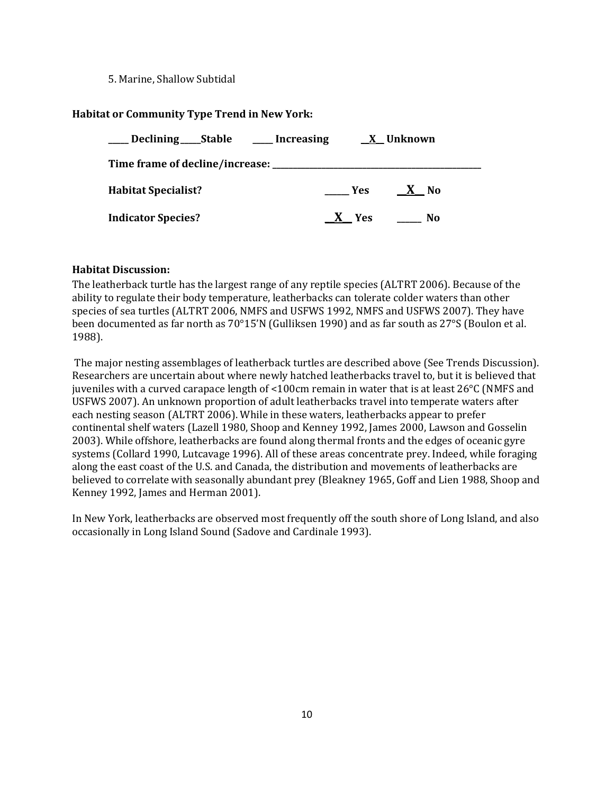5. Marine, Shallow Subtidal

## **Habitat or Community Type Trend in New York:**

| _Declining____Stable ______Increasing |                    | <b>X</b> Unknown |
|---------------------------------------|--------------------|------------------|
|                                       |                    |                  |
| <b>Habitat Specialist?</b>            | <b>Example SER</b> | X No             |
| <b>Indicator Species?</b>             | X Yes              | N <sub>0</sub>   |

## **Habitat Discussion:**

The leatherback turtle has the largest range of any reptile species (ALTRT 2006). Because of the ability to regulate their body temperature, leatherbacks can tolerate colder waters than other species of sea turtles (ALTRT 2006, NMFS and USFWS 1992, NMFS and USFWS 2007). They have been documented as far north as 70°15'N (Gulliksen 1990) and as far south as 27°S (Boulon et al. 1988).

The major nesting assemblages of leatherback turtles are described above (See Trends Discussion). Researchers are uncertain about where newly hatched leatherbacks travel to, but it is believed that juveniles with a curved carapace length of <100cm remain in water that is at least 26°C (NMFS and USFWS 2007). An unknown proportion of adult leatherbacks travel into temperate waters after each nesting season (ALTRT 2006). While in these waters, leatherbacks appear to prefer continental shelf waters (Lazell 1980, Shoop and Kenney 1992, James 2000, Lawson and Gosselin 2003). While offshore, leatherbacks are found along thermal fronts and the edges of oceanic gyre systems (Collard 1990, Lutcavage 1996). All of these areas concentrate prey. Indeed, while foraging along the east coast of the U.S. and Canada, the distribution and movements of leatherbacks are believed to correlate with seasonally abundant prey (Bleakney 1965, Goff and Lien 1988, Shoop and Kenney 1992, James and Herman 2001).

In New York, leatherbacks are observed most frequently off the south shore of Long Island, and also occasionally in Long Island Sound (Sadove and Cardinale 1993).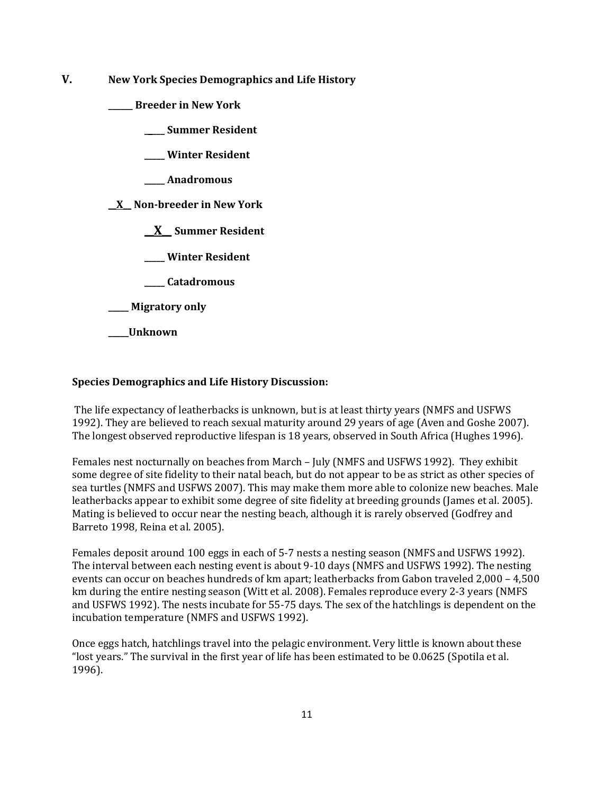**V. New York Species Demographics and Life History**

**\_\_\_\_\_\_ Breeder in New York**

**\_\_\_\_\_ Summer Resident**

**\_\_\_\_\_ Winter Resident**

**\_\_\_\_\_ Anadromous**

**\_\_X\_\_ Non-breeder in New York**

**\_\_X\_\_ Summer Resident**

**\_\_\_\_\_ Winter Resident**

**\_\_\_\_\_ Catadromous**

**\_\_\_\_\_ Migratory only**

**\_\_\_\_\_Unknown**

## **Species Demographics and Life History Discussion:**

The life expectancy of leatherbacks is unknown, but is at least thirty years (NMFS and USFWS 1992). They are believed to reach sexual maturity around 29 years of age (Aven and Goshe 2007). The longest observed reproductive lifespan is 18 years, observed in South Africa (Hughes 1996).

Females nest nocturnally on beaches from March – July (NMFS and USFWS 1992). They exhibit some degree of site fidelity to their natal beach, but do not appear to be as strict as other species of sea turtles (NMFS and USFWS 2007). This may make them more able to colonize new beaches. Male leatherbacks appear to exhibit some degree of site fidelity at breeding grounds (James et al. 2005). Mating is believed to occur near the nesting beach, although it is rarely observed (Godfrey and Barreto 1998, Reina et al. 2005).

Females deposit around 100 eggs in each of 5-7 nests a nesting season (NMFS and USFWS 1992). The interval between each nesting event is about 9-10 days (NMFS and USFWS 1992). The nesting events can occur on beaches hundreds of km apart; leatherbacks from Gabon traveled 2,000 – 4,500 km during the entire nesting season (Witt et al. 2008). Females reproduce every 2-3 years (NMFS and USFWS 1992). The nests incubate for 55-75 days. The sex of the hatchlings is dependent on the incubation temperature (NMFS and USFWS 1992).

Once eggs hatch, hatchlings travel into the pelagic environment. Very little is known about these "lost years." The survival in the first year of life has been estimated to be 0.0625 (Spotila et al. 1996).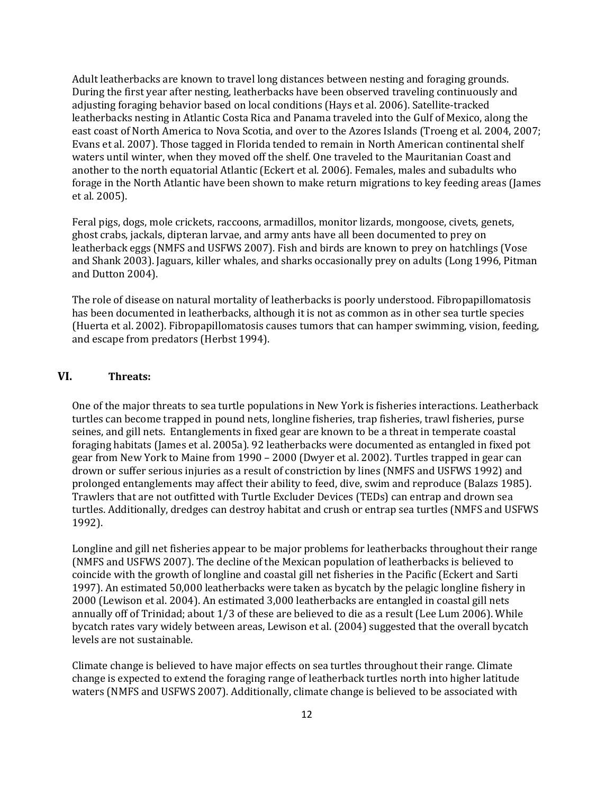Adult leatherbacks are known to travel long distances between nesting and foraging grounds. During the first year after nesting, leatherbacks have been observed traveling continuously and adjusting foraging behavior based on local conditions (Hays et al. 2006). Satellite-tracked leatherbacks nesting in Atlantic Costa Rica and Panama traveled into the Gulf of Mexico, along the east coast of North America to Nova Scotia, and over to the Azores Islands (Troeng et al. 2004, 2007; Evans et al. 2007). Those tagged in Florida tended to remain in North American continental shelf waters until winter, when they moved off the shelf. One traveled to the Mauritanian Coast and another to the north equatorial Atlantic (Eckert et al. 2006). Females, males and subadults who forage in the North Atlantic have been shown to make return migrations to key feeding areas (James et al. 2005).

Feral pigs, dogs, mole crickets, raccoons, armadillos, monitor lizards, mongoose, civets, genets, ghost crabs, jackals, dipteran larvae, and army ants have all been documented to prey on leatherback eggs (NMFS and USFWS 2007). Fish and birds are known to prey on hatchlings (Vose and Shank 2003). Jaguars, killer whales, and sharks occasionally prey on adults (Long 1996, Pitman and Dutton 2004).

The role of disease on natural mortality of leatherbacks is poorly understood. Fibropapillomatosis has been documented in leatherbacks, although it is not as common as in other sea turtle species (Huerta et al. 2002). Fibropapillomatosis causes tumors that can hamper swimming, vision, feeding, and escape from predators (Herbst 1994).

## **VI. Threats:**

One of the major threats to sea turtle populations in New York is fisheries interactions. Leatherback turtles can become trapped in pound nets, longline fisheries, trap fisheries, trawl fisheries, purse seines, and gill nets. Entanglements in fixed gear are known to be a threat in temperate coastal foraging habitats (James et al. 2005a). 92 leatherbacks were documented as entangled in fixed pot gear from New York to Maine from 1990 – 2000 (Dwyer et al. 2002). Turtles trapped in gear can drown or suffer serious injuries as a result of constriction by lines (NMFS and USFWS 1992) and prolonged entanglements may affect their ability to feed, dive, swim and reproduce (Balazs 1985). Trawlers that are not outfitted with Turtle Excluder Devices (TEDs) can entrap and drown sea turtles. Additionally, dredges can destroy habitat and crush or entrap sea turtles (NMFS and USFWS 1992).

Longline and gill net fisheries appear to be major problems for leatherbacks throughout their range (NMFS and USFWS 2007). The decline of the Mexican population of leatherbacks is believed to coincide with the growth of longline and coastal gill net fisheries in the Pacific (Eckert and Sarti 1997). An estimated 50,000 leatherbacks were taken as bycatch by the pelagic longline fishery in 2000 (Lewison et al. 2004). An estimated 3,000 leatherbacks are entangled in coastal gill nets annually off of Trinidad; about 1/3 of these are believed to die as a result (Lee Lum 2006). While bycatch rates vary widely between areas, Lewison et al. (2004) suggested that the overall bycatch levels are not sustainable.

Climate change is believed to have major effects on sea turtles throughout their range. Climate change is expected to extend the foraging range of leatherback turtles north into higher latitude waters (NMFS and USFWS 2007). Additionally, climate change is believed to be associated with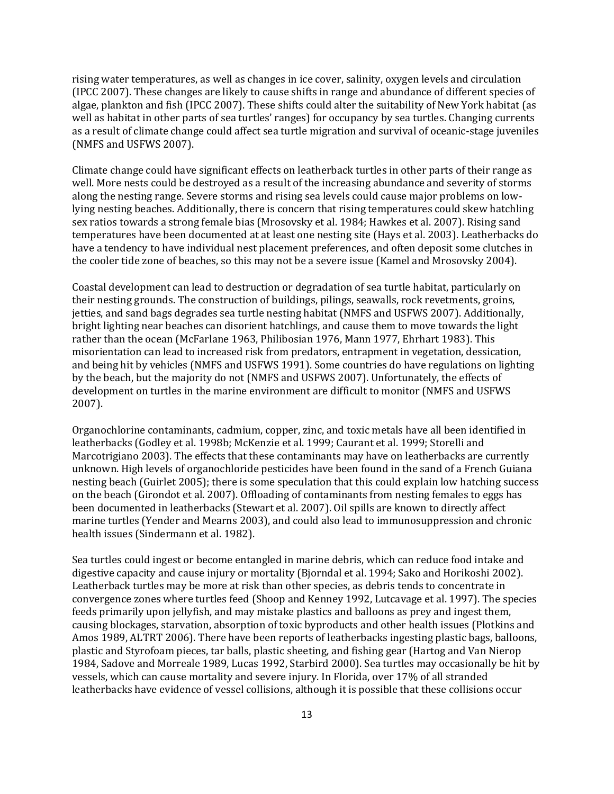rising water temperatures, as well as changes in ice cover, salinity, oxygen levels and circulation (IPCC 2007). These changes are likely to cause shifts in range and abundance of different species of algae, plankton and fish (IPCC 2007). These shifts could alter the suitability of New York habitat (as well as habitat in other parts of sea turtles' ranges) for occupancy by sea turtles. Changing currents as a result of climate change could affect sea turtle migration and survival of oceanic-stage juveniles (NMFS and USFWS 2007).

Climate change could have significant effects on leatherback turtles in other parts of their range as well. More nests could be destroyed as a result of the increasing abundance and severity of storms along the nesting range. Severe storms and rising sea levels could cause major problems on lowlying nesting beaches. Additionally, there is concern that rising temperatures could skew hatchling sex ratios towards a strong female bias (Mrosovsky et al. 1984; Hawkes et al. 2007). Rising sand temperatures have been documented at at least one nesting site (Hays et al. 2003). Leatherbacks do have a tendency to have individual nest placement preferences, and often deposit some clutches in the cooler tide zone of beaches, so this may not be a severe issue (Kamel and Mrosovsky 2004).

Coastal development can lead to destruction or degradation of sea turtle habitat, particularly on their nesting grounds. The construction of buildings, pilings, seawalls, rock revetments, groins, jetties, and sand bags degrades sea turtle nesting habitat (NMFS and USFWS 2007). Additionally, bright lighting near beaches can disorient hatchlings, and cause them to move towards the light rather than the ocean (McFarlane 1963, Philibosian 1976, Mann 1977, Ehrhart 1983). This misorientation can lead to increased risk from predators, entrapment in vegetation, dessication, and being hit by vehicles (NMFS and USFWS 1991). Some countries do have regulations on lighting by the beach, but the majority do not (NMFS and USFWS 2007). Unfortunately, the effects of development on turtles in the marine environment are difficult to monitor (NMFS and USFWS 2007).

Organochlorine contaminants, cadmium, copper, zinc, and toxic metals have all been identified in leatherbacks (Godley et al. 1998b; McKenzie et al. 1999; Caurant et al. 1999; Storelli and Marcotrigiano 2003). The effects that these contaminants may have on leatherbacks are currently unknown. High levels of organochloride pesticides have been found in the sand of a French Guiana nesting beach (Guirlet 2005); there is some speculation that this could explain low hatching success on the beach (Girondot et al. 2007). Offloading of contaminants from nesting females to eggs has been documented in leatherbacks (Stewart et al. 2007). Oil spills are known to directly affect marine turtles (Yender and Mearns 2003), and could also lead to immunosuppression and chronic health issues (Sindermann et al. 1982).

Sea turtles could ingest or become entangled in marine debris, which can reduce food intake and digestive capacity and cause injury or mortality (Bjorndal et al. 1994; Sako and Horikoshi 2002). Leatherback turtles may be more at risk than other species, as debris tends to concentrate in convergence zones where turtles feed (Shoop and Kenney 1992, Lutcavage et al. 1997). The species feeds primarily upon jellyfish, and may mistake plastics and balloons as prey and ingest them, causing blockages, starvation, absorption of toxic byproducts and other health issues (Plotkins and Amos 1989, ALTRT 2006). There have been reports of leatherbacks ingesting plastic bags, balloons, plastic and Styrofoam pieces, tar balls, plastic sheeting, and fishing gear (Hartog and Van Nierop 1984, Sadove and Morreale 1989, Lucas 1992, Starbird 2000). Sea turtles may occasionally be hit by vessels, which can cause mortality and severe injury. In Florida, over 17% of all stranded leatherbacks have evidence of vessel collisions, although it is possible that these collisions occur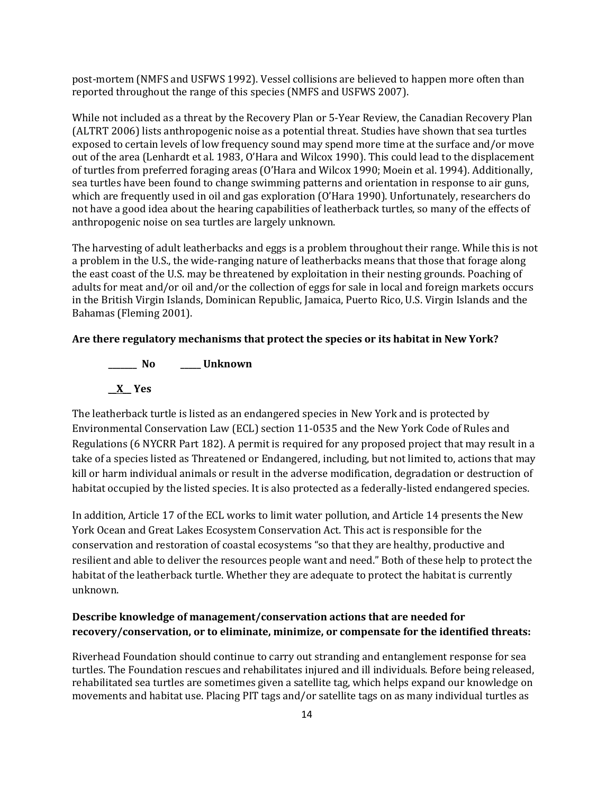post-mortem (NMFS and USFWS 1992). Vessel collisions are believed to happen more often than reported throughout the range of this species (NMFS and USFWS 2007).

While not included as a threat by the Recovery Plan or 5-Year Review, the Canadian Recovery Plan (ALTRT 2006) lists anthropogenic noise as a potential threat. Studies have shown that sea turtles exposed to certain levels of low frequency sound may spend more time at the surface and/or move out of the area (Lenhardt et al. 1983, O'Hara and Wilcox 1990). This could lead to the displacement of turtles from preferred foraging areas (O'Hara and Wilcox 1990; Moein et al. 1994). Additionally, sea turtles have been found to change swimming patterns and orientation in response to air guns, which are frequently used in oil and gas exploration (O'Hara 1990). Unfortunately, researchers do not have a good idea about the hearing capabilities of leatherback turtles, so many of the effects of anthropogenic noise on sea turtles are largely unknown.

The harvesting of adult leatherbacks and eggs is a problem throughout their range. While this is not a problem in the U.S., the wide-ranging nature of leatherbacks means that those that forage along the east coast of the U.S. may be threatened by exploitation in their nesting grounds. Poaching of adults for meat and/or oil and/or the collection of eggs for sale in local and foreign markets occurs in the British Virgin Islands, Dominican Republic, Jamaica, Puerto Rico, U.S. Virgin Islands and the Bahamas (Fleming 2001).

#### **Are there regulatory mechanisms that protect the species or its habitat in New York?**

**\_\_\_\_\_\_\_ No \_\_\_\_\_ Unknown** \_\_**X**\_\_ **Yes** 

The leatherback turtle is listed as an endangered species in New York and is protected by Environmental Conservation Law (ECL) section 11-0535 and the New York Code of Rules and Regulations (6 NYCRR Part 182). A permit is required for any proposed project that may result in a take of a species listed as Threatened or Endangered, including, but not limited to, actions that may kill or harm individual animals or result in the adverse modification, degradation or destruction of habitat occupied by the listed species. It is also protected as a federally-listed endangered species.

In addition, Article 17 of the ECL works to limit water pollution, and Article 14 presents the New York Ocean and Great Lakes Ecosystem Conservation Act. This act is responsible for the conservation and restoration of coastal ecosystems "so that they are healthy, productive and resilient and able to deliver the resources people want and need." Both of these help to protect the habitat of the leatherback turtle. Whether they are adequate to protect the habitat is currently unknown.

## **Describe knowledge of management/conservation actions that are needed for recovery/conservation, or to eliminate, minimize, or compensate for the identified threats:**

Riverhead Foundation should continue to carry out stranding and entanglement response for sea turtles. The Foundation rescues and rehabilitates injured and ill individuals. Before being released, rehabilitated sea turtles are sometimes given a satellite tag, which helps expand our knowledge on movements and habitat use. Placing PIT tags and/or satellite tags on as many individual turtles as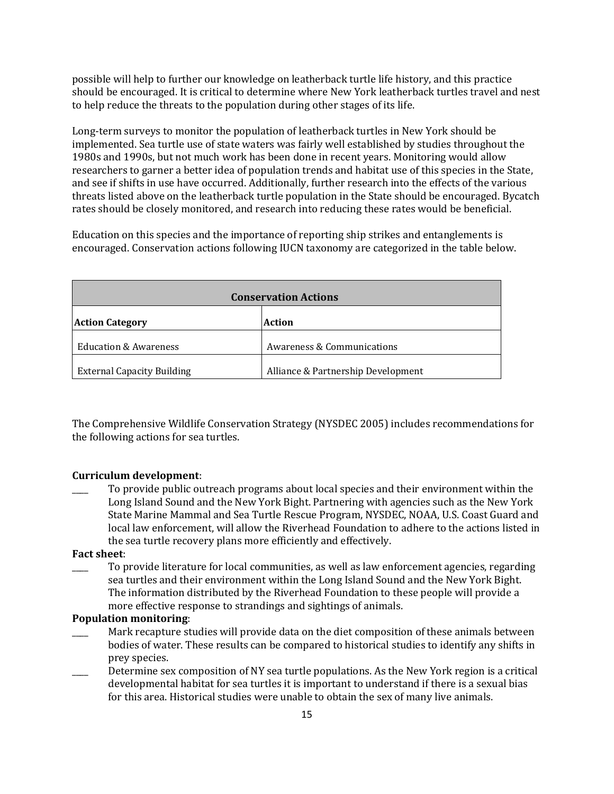possible will help to further our knowledge on leatherback turtle life history, and this practice should be encouraged. It is critical to determine where New York leatherback turtles travel and nest to help reduce the threats to the population during other stages of its life.

Long-term surveys to monitor the population of leatherback turtles in New York should be implemented. Sea turtle use of state waters was fairly well established by studies throughout the 1980s and 1990s, but not much work has been done in recent years. Monitoring would allow researchers to garner a better idea of population trends and habitat use of this species in the State, and see if shifts in use have occurred. Additionally, further research into the effects of the various threats listed above on the leatherback turtle population in the State should be encouraged. Bycatch rates should be closely monitored, and research into reducing these rates would be beneficial.

Education on this species and the importance of reporting ship strikes and entanglements is encouraged. Conservation actions following IUCN taxonomy are categorized in the table below.

| <b>Conservation Actions</b>       |                                    |  |
|-----------------------------------|------------------------------------|--|
| <b>Action Category</b>            | <b>Action</b>                      |  |
| <b>Education &amp; Awareness</b>  | Awareness & Communications         |  |
| <b>External Capacity Building</b> | Alliance & Partnership Development |  |

The Comprehensive Wildlife Conservation Strategy (NYSDEC 2005) includes recommendations for the following actions for sea turtles.

#### **Curriculum development**:

\_\_\_\_ To provide public outreach programs about local species and their environment within the Long Island Sound and the New York Bight. Partnering with agencies such as the New York State Marine Mammal and Sea Turtle Rescue Program, NYSDEC, NOAA, U.S. Coast Guard and local law enforcement, will allow the Riverhead Foundation to adhere to the actions listed in the sea turtle recovery plans more efficiently and effectively.

#### **Fact sheet**:

To provide literature for local communities, as well as law enforcement agencies, regarding sea turtles and their environment within the Long Island Sound and the New York Bight. The information distributed by the Riverhead Foundation to these people will provide a more effective response to strandings and sightings of animals.

## **Population monitoring**:

- Mark recapture studies will provide data on the diet composition of these animals between bodies of water. These results can be compared to historical studies to identify any shifts in prey species.
- Determine sex composition of NY sea turtle populations. As the New York region is a critical developmental habitat for sea turtles it is important to understand if there is a sexual bias for this area. Historical studies were unable to obtain the sex of many live animals.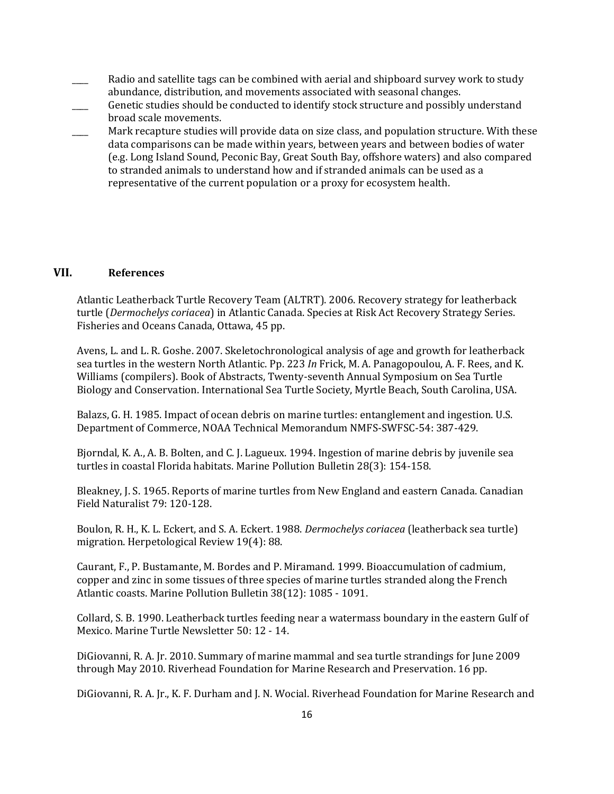- Radio and satellite tags can be combined with aerial and shipboard survey work to study abundance, distribution, and movements associated with seasonal changes.
- Genetic studies should be conducted to identify stock structure and possibly understand broad scale movements.
- Mark recapture studies will provide data on size class, and population structure. With these data comparisons can be made within years, between years and between bodies of water (e.g. Long Island Sound, Peconic Bay, Great South Bay, offshore waters) and also compared to stranded animals to understand how and if stranded animals can be used as a representative of the current population or a proxy for ecosystem health.

#### **VII. References**

Atlantic Leatherback Turtle Recovery Team (ALTRT). 2006. Recovery strategy for leatherback turtle (*Dermochelys coriacea*) in Atlantic Canada. Species at Risk Act Recovery Strategy Series. Fisheries and Oceans Canada, Ottawa, 45 pp.

Avens, L. and L. R. Goshe. 2007. Skeletochronological analysis of age and growth for leatherback sea turtles in the western North Atlantic. Pp. 223 *In* Frick, M. A. Panagopoulou, A. F. Rees, and K. Williams (compilers). Book of Abstracts, Twenty-seventh Annual Symposium on Sea Turtle Biology and Conservation. International Sea Turtle Society, Myrtle Beach, South Carolina, USA.

Balazs, G. H. 1985. Impact of ocean debris on marine turtles: entanglement and ingestion. U.S. Department of Commerce, NOAA Technical Memorandum NMFS-SWFSC-54: 387-429.

Bjorndal, K. A., A. B. Bolten, and C. J. Lagueux. 1994. Ingestion of marine debris by juvenile sea turtles in coastal Florida habitats. Marine Pollution Bulletin 28(3): 154-158.

Bleakney, J. S. 1965. Reports of marine turtles from New England and eastern Canada. Canadian Field Naturalist 79: 120-128.

Boulon, R. H., K. L. Eckert, and S. A. Eckert. 1988. *Dermochelys coriacea* (leatherback sea turtle) migration. Herpetological Review 19(4): 88.

Caurant, F., P. Bustamante, M. Bordes and P. Miramand. 1999. Bioaccumulation of cadmium, copper and zinc in some tissues of three species of marine turtles stranded along the French Atlantic coasts. Marine Pollution Bulletin 38(12): 1085 - 1091.

Collard, S. B. 1990. Leatherback turtles feeding near a watermass boundary in the eastern Gulf of Mexico. Marine Turtle Newsletter 50: 12 - 14.

DiGiovanni, R. A. Jr. 2010. Summary of marine mammal and sea turtle strandings for June 2009 through May 2010. Riverhead Foundation for Marine Research and Preservation. 16 pp.

DiGiovanni, R. A. Jr., K. F. Durham and J. N. Wocial. Riverhead Foundation for Marine Research and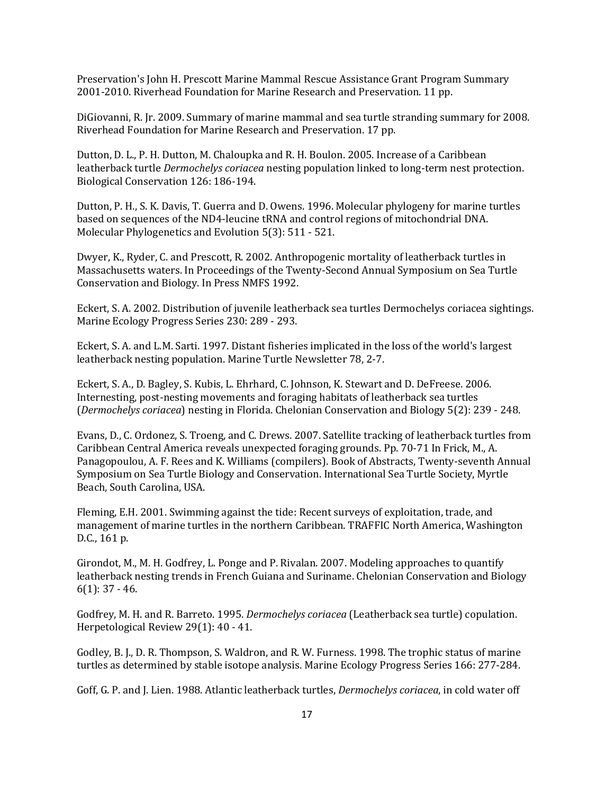Preservation's John H. Prescott Marine Mammal Rescue Assistance Grant Program Summary 2001-2010. Riverhead Foundation for Marine Research and Preservation. 11 pp.

DiGiovanni, R. Jr. 2009. Summary of marine mammal and sea turtle stranding summary for 2008. Riverhead Foundation for Marine Research and Preservation. 17 pp.

Dutton, D. L., P. H. Dutton, M. Chaloupka and R. H. Boulon. 2005. Increase of a Caribbean leatherback turtle *Dermochelys coriacea* nesting population linked to long-term nest protection. Biological Conservation 126: 186-194.

Dutton, P. H., S. K. Davis, T. Guerra and D. Owens. 1996. Molecular phylogeny for marine turtles based on sequences of the ND4-leucine tRNA and control regions of mitochondrial DNA. Molecular Phylogenetics and Evolution 5(3): 511 - 521.

Dwyer, K., Ryder, C. and Prescott, R. 2002. Anthropogenic mortality of leatherback turtles in Massachusetts waters. In Proceedings of the Twenty-Second Annual Symposium on Sea Turtle Conservation and Biology. In Press NMFS 1992.

Eckert, S. A. 2002. Distribution of juvenile leatherback sea turtles Dermochelys coriacea sightings. Marine Ecology Progress Series 230: 289 - 293.

Eckert, S. A. and L.M. Sarti. 1997. Distant fisheries implicated in the loss of the world's largest leatherback nesting population. Marine Turtle Newsletter 78, 2-7.

Eckert, S. A., D. Bagley, S. Kubis, L. Ehrhard, C. Johnson, K. Stewart and D. DeFreese. 2006. Internesting, post-nesting movements and foraging habitats of leatherback sea turtles (*Dermochelys coriacea*) nesting in Florida. Chelonian Conservation and Biology 5(2): 239 - 248.

Evans, D., C. Ordonez, S. Troeng, and C. Drews. 2007. Satellite tracking of leatherback turtles from Caribbean Central America reveals unexpected foraging grounds. Pp. 70-71 In Frick, M., A. Panagopoulou, A. F. Rees and K. Williams (compilers). Book of Abstracts, Twenty-seventh Annual Symposium on Sea Turtle Biology and Conservation. International Sea Turtle Society, Myrtle Beach, South Carolina, USA.

Fleming, E.H. 2001. Swimming against the tide: Recent surveys of exploitation, trade, and management of marine turtles in the northern Caribbean. TRAFFIC North America, Washington D.C., 161 p.

Girondot, M., M. H. Godfrey, L. Ponge and P. Rivalan. 2007. Modeling approaches to quantify leatherback nesting trends in French Guiana and Suriname. Chelonian Conservation and Biology 6(1): 37 - 46.

Godfrey, M. H. and R. Barreto. 1995. *Dermochelys coriacea* (Leatherback sea turtle) copulation. Herpetological Review 29(1): 40 - 41.

Godley, B. J., D. R. Thompson, S. Waldron, and R. W. Furness. 1998. The trophic status of marine turtles as determined by stable isotope analysis. Marine Ecology Progress Series 166: 277-284.

Goff, G. P. and J. Lien. 1988. Atlantic leatherback turtles, *Dermochelys coriacea*, in cold water off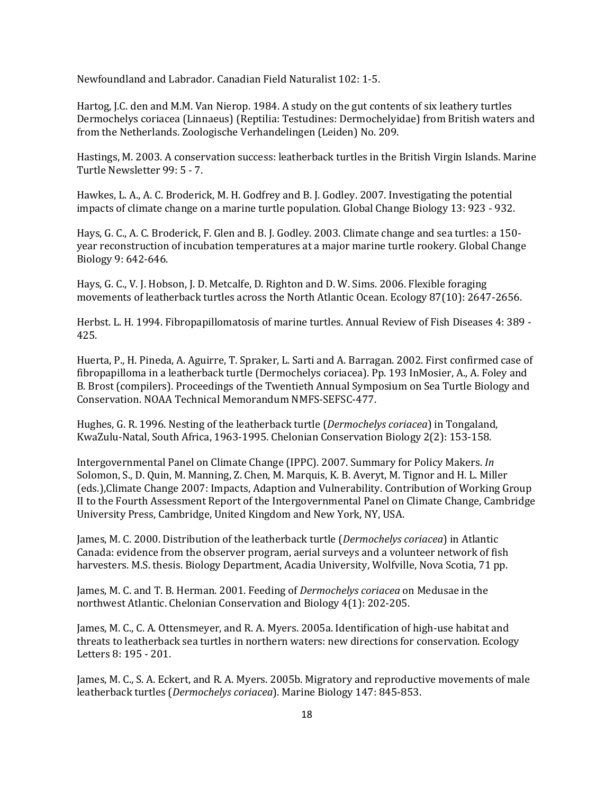Newfoundland and Labrador. Canadian Field Naturalist 102: 1-5.

Hartog, J.C. den and M.M. Van Nierop. 1984. A study on the gut contents of six leathery turtles Dermochelys coriacea (Linnaeus) (Reptilia: Testudines: Dermochelyidae) from British waters and from the Netherlands. Zoologische Verhandelingen (Leiden) No. 209.

Hastings, M. 2003. A conservation success: leatherback turtles in the British Virgin Islands. Marine Turtle Newsletter 99: 5 - 7.

Hawkes, L. A., A. C. Broderick, M. H. Godfrey and B. J. Godley. 2007. Investigating the potential impacts of climate change on a marine turtle population. Global Change Biology 13: 923 - 932.

Hays, G. C., A. C. Broderick, F. Glen and B. J. Godley. 2003. Climate change and sea turtles: a 150 year reconstruction of incubation temperatures at a major marine turtle rookery. Global Change Biology 9: 642-646.

Hays, G. C., V. J. Hobson, J. D. Metcalfe, D. Righton and D. W. Sims. 2006. Flexible foraging movements of leatherback turtles across the North Atlantic Ocean. Ecology 87(10): 2647-2656.

Herbst. L. H. 1994. Fibropapillomatosis of marine turtles. Annual Review of Fish Diseases 4: 389 - 425.

Huerta, P., H. Pineda, A. Aguirre, T. Spraker, L. Sarti and A. Barragan. 2002. First confirmed case of fibropapilloma in a leatherback turtle (Dermochelys coriacea). Pp. 193 InMosier, A., A. Foley and B. Brost (compilers). Proceedings of the Twentieth Annual Symposium on Sea Turtle Biology and Conservation. NOAA Technical Memorandum NMFS-SEFSC-477.

Hughes, G. R. 1996. Nesting of the leatherback turtle (*Dermochelys coriacea*) in Tongaland, KwaZulu-Natal, South Africa, 1963-1995. Chelonian Conservation Biology 2(2): 153-158.

Intergovernmental Panel on Climate Change (IPPC). 2007. Summary for Policy Makers. *In*  Solomon, S., D. Quin, M. Manning, Z. Chen, M. Marquis, K. B. Averyt, M. Tignor and H. L. Miller (eds.),Climate Change 2007: Impacts, Adaption and Vulnerability. Contribution of Working Group II to the Fourth Assessment Report of the Intergovernmental Panel on Climate Change, Cambridge University Press, Cambridge, United Kingdom and New York, NY, USA.

James, M. C. 2000. Distribution of the leatherback turtle (*Dermochelys coriacea*) in Atlantic Canada: evidence from the observer program, aerial surveys and a volunteer network of fish harvesters. M.S. thesis. Biology Department, Acadia University, Wolfville, Nova Scotia, 71 pp.

James, M. C. and T. B. Herman. 2001. Feeding of *Dermochelys coriacea* on Medusae in the northwest Atlantic. Chelonian Conservation and Biology 4(1): 202-205.

James, M. C., C. A. Ottensmeyer, and R. A. Myers. 2005a. Identification of high-use habitat and threats to leatherback sea turtles in northern waters: new directions for conservation. Ecology Letters 8: 195 - 201.

James, M. C., S. A. Eckert, and R. A. Myers. 2005b. Migratory and reproductive movements of male leatherback turtles (*Dermochelys coriacea*). Marine Biology 147: 845-853.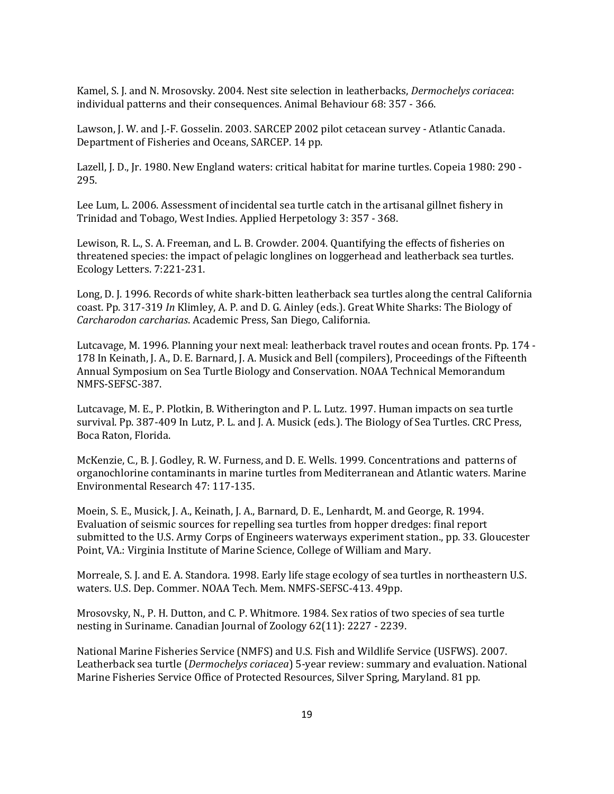Kamel, S. J. and N. Mrosovsky. 2004. Nest site selection in leatherbacks, *Dermochelys coriacea*: individual patterns and their consequences. Animal Behaviour 68: 357 - 366.

Lawson, J. W. and J.-F. Gosselin. 2003. SARCEP 2002 pilot cetacean survey - Atlantic Canada. Department of Fisheries and Oceans, SARCEP. 14 pp.

Lazell, J. D., Jr. 1980. New England waters: critical habitat for marine turtles. Copeia 1980: 290 - 295.

Lee Lum, L. 2006. Assessment of incidental sea turtle catch in the artisanal gillnet fishery in Trinidad and Tobago, West Indies. Applied Herpetology 3: 357 - 368.

Lewison, R. L., S. A. Freeman, and L. B. Crowder. 2004. Quantifying the effects of fisheries on threatened species: the impact of pelagic longlines on loggerhead and leatherback sea turtles. Ecology Letters. 7:221-231.

Long, D. J. 1996. Records of white shark-bitten leatherback sea turtles along the central California coast. Pp. 317-319 *In* Klimley, A. P. and D. G. Ainley (eds.). Great White Sharks: The Biology of *Carcharodon carcharias*. Academic Press, San Diego, California.

Lutcavage, M. 1996. Planning your next meal: leatherback travel routes and ocean fronts. Pp. 174 - 178 In Keinath, J. A., D. E. Barnard, J. A. Musick and Bell (compilers), Proceedings of the Fifteenth Annual Symposium on Sea Turtle Biology and Conservation. NOAA Technical Memorandum NMFS-SEFSC-387.

Lutcavage, M. E., P. Plotkin, B. Witherington and P. L. Lutz. 1997. Human impacts on sea turtle survival. Pp. 387-409 In Lutz, P. L. and J. A. Musick (eds.). The Biology of Sea Turtles. CRC Press, Boca Raton, Florida.

McKenzie, C., B. J. Godley, R. W. Furness, and D. E. Wells. 1999. Concentrations and patterns of organochlorine contaminants in marine turtles from Mediterranean and Atlantic waters. Marine Environmental Research 47: 117-135.

Moein, S. E., Musick, J. A., Keinath, J. A., Barnard, D. E., Lenhardt, M. and George, R. 1994. Evaluation of seismic sources for repelling sea turtles from hopper dredges: final report submitted to the U.S. Army Corps of Engineers waterways experiment station., pp. 33. Gloucester Point, VA.: Virginia Institute of Marine Science, College of William and Mary.

Morreale, S. J. and E. A. Standora. 1998. Early life stage ecology of sea turtles in northeastern U.S. waters. U.S. Dep. Commer. NOAA Tech. Mem. NMFS-SEFSC-413. 49pp.

Mrosovsky, N., P. H. Dutton, and C. P. Whitmore. 1984. Sex ratios of two species of sea turtle nesting in Suriname. Canadian Journal of Zoology 62(11): 2227 - 2239.

National Marine Fisheries Service (NMFS) and U.S. Fish and Wildlife Service (USFWS). 2007. Leatherback sea turtle (*Dermochelys coriacea*) 5-year review: summary and evaluation. National Marine Fisheries Service Office of Protected Resources, Silver Spring, Maryland. 81 pp.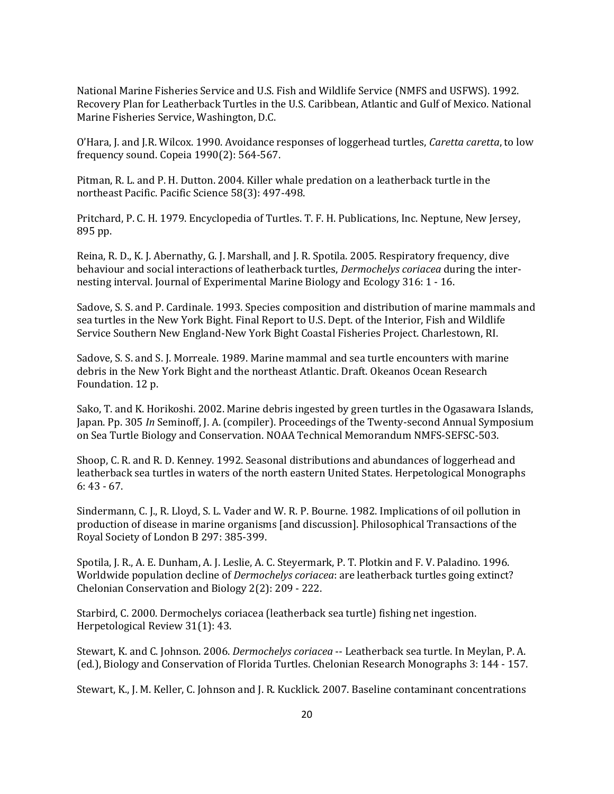National Marine Fisheries Service and U.S. Fish and Wildlife Service (NMFS and USFWS). 1992. Recovery Plan for Leatherback Turtles in the U.S. Caribbean, Atlantic and Gulf of Mexico. National Marine Fisheries Service, Washington, D.C.

O'Hara, J. and J.R. Wilcox. 1990. Avoidance responses of loggerhead turtles, *Caretta caretta*, to low frequency sound. Copeia 1990(2): 564-567.

Pitman, R. L. and P. H. Dutton. 2004. Killer whale predation on a leatherback turtle in the northeast Pacific. Pacific Science 58(3): 497-498.

Pritchard, P. C. H. 1979. Encyclopedia of Turtles. T. F. H. Publications, Inc. Neptune, New Jersey, 895 pp.

Reina, R. D., K. J. Abernathy, G. J. Marshall, and J. R. Spotila. 2005. Respiratory frequency, dive behaviour and social interactions of leatherback turtles, *Dermochelys coriacea* during the internesting interval. Journal of Experimental Marine Biology and Ecology 316: 1 - 16.

Sadove, S. S. and P. Cardinale. 1993. Species composition and distribution of marine mammals and sea turtles in the New York Bight. Final Report to U.S. Dept. of the Interior, Fish and Wildlife Service Southern New England-New York Bight Coastal Fisheries Project. Charlestown, RI.

Sadove, S. S. and S. J. Morreale. 1989. Marine mammal and sea turtle encounters with marine debris in the New York Bight and the northeast Atlantic. Draft. Okeanos Ocean Research Foundation. 12 p.

Sako, T. and K. Horikoshi. 2002. Marine debris ingested by green turtles in the Ogasawara Islands, Japan. Pp. 305 *In* Seminoff, J. A. (compiler). Proceedings of the Twenty-second Annual Symposium on Sea Turtle Biology and Conservation. NOAA Technical Memorandum NMFS-SEFSC-503.

Shoop, C. R. and R. D. Kenney. 1992. Seasonal distributions and abundances of loggerhead and leatherback sea turtles in waters of the north eastern United States. Herpetological Monographs 6: 43 - 67.

Sindermann, C. J., R. Lloyd, S. L. Vader and W. R. P. Bourne. 1982. Implications of oil pollution in production of disease in marine organisms [and discussion]. Philosophical Transactions of the Royal Society of London B 297: 385-399.

Spotila, J. R., A. E. Dunham, A. J. Leslie, A. C. Steyermark, P. T. Plotkin and F. V. Paladino. 1996. Worldwide population decline of *Dermochelys coriacea*: are leatherback turtles going extinct? Chelonian Conservation and Biology 2(2): 209 - 222.

Starbird, C. 2000. Dermochelys coriacea (leatherback sea turtle) fishing net ingestion. Herpetological Review 31(1): 43.

Stewart, K. and C. Johnson. 2006. *Dermochelys coriacea* -- Leatherback sea turtle. In Meylan, P. A. (ed.), Biology and Conservation of Florida Turtles. Chelonian Research Monographs 3: 144 - 157.

Stewart, K., J. M. Keller, C. Johnson and J. R. Kucklick. 2007. Baseline contaminant concentrations